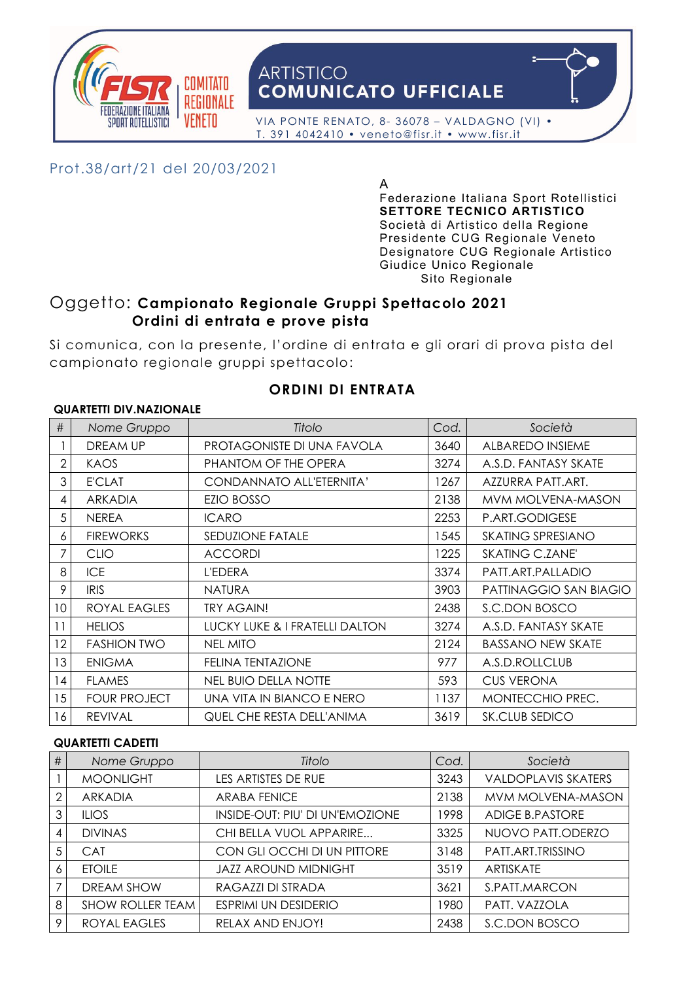

# **ARTISTICO COMUNICATO UFFICIALE**

 VIA PONTE RENATO, 8- 36078 – VALDAGNO (VI) • T. 391 4042410 • veneto@fisr.it • www.fisr.it

## Prot.38/art/21 del 20/03/2021

A Federazione Italiana Sport Rotellistici **SETTORE TECNICO ARTISTICO** Società di Artistico della Regione Presidente CUG Regionale Veneto Designatore CUG Regionale Artistico Giudice Unico Regionale Sito Regionale

## Oggetto: **Campionato Regionale Gruppi Spettacolo 2021 Ordini di entrata e prove pista**

Si comunica, con la presente, l'ordine di entrata e gli orari di prova pista del campionato regionale gruppi spettacolo:

**ORDINI DI ENTRATA**

## **QUARTETTI DIV.NAZIONALE**

| #              | Nome Gruppo         | Titolo                         | Cod. | Società                  |  |  |  |
|----------------|---------------------|--------------------------------|------|--------------------------|--|--|--|
|                | <b>DREAM UP</b>     | PROTAGONISTE DI UNA FAVOLA     | 3640 | <b>ALBAREDO INSIEME</b>  |  |  |  |
| $\overline{2}$ | <b>KAOS</b>         | PHANTOM OF THE OPERA           | 3274 | A.S.D. FANTASY SKATE     |  |  |  |
| 3              | <b>E'CLAT</b>       | CONDANNATO ALL'ETERNITA'       | 1267 | AZZURRA PATT.ART.        |  |  |  |
| 4              | <b>ARKADIA</b>      | EZIO BOSSO                     | 2138 | MVM MOLVENA-MASON        |  |  |  |
| 5              | <b>NEREA</b>        | <b>ICARO</b>                   | 2253 | P.ART.GODIGESE           |  |  |  |
| 6              | <b>FIREWORKS</b>    | SEDUZIONE FATALE               | 1545 | <b>SKATING SPRESIANO</b> |  |  |  |
| 7              | <b>CLIO</b>         | <b>ACCORDI</b>                 | 1225 | <b>SKATING C.ZANE'</b>   |  |  |  |
| 8              | <b>ICE</b>          | <b>L'EDERA</b>                 | 3374 | PATT.ART.PALLADIO        |  |  |  |
| 9              | <b>IRIS</b>         | <b>NATURA</b>                  | 3903 | PATTINAGGIO SAN BIAGIO   |  |  |  |
| 10             | ROYAL EAGLES        | <b>TRY AGAIN!</b>              | 2438 | S.C.DON BOSCO            |  |  |  |
| 11             | <b>HELIOS</b>       | LUCKY LUKE & I FRATELLI DALTON | 3274 | A.S.D. FANTASY SKATE     |  |  |  |
| 12             | <b>FASHION TWO</b>  | <b>NEL MITO</b>                | 2124 | <b>BASSANO NEW SKATE</b> |  |  |  |
| 13             | <b>ENIGMA</b>       | <b>FELINA TENTAZIONE</b>       | 977  | A.S.D.ROLLCLUB           |  |  |  |
| 14             | <b>FLAMES</b>       | <b>NEL BUIO DELLA NOTTE</b>    | 593  | <b>CUS VERONA</b>        |  |  |  |
| 15             | <b>FOUR PROJECT</b> | UNA VITA IN BIANCO E NERO      | 1137 | MONTECCHIO PREC.         |  |  |  |
| 16             | <b>REVIVAL</b>      | QUEL CHE RESTA DELL'ANIMA      | 3619 | SK.CLUB SEDICO           |  |  |  |

#### **QUARTETTI CADETTI**

| # | Nome Gruppo             | Titolo                          | Cod. | Società                    |
|---|-------------------------|---------------------------------|------|----------------------------|
|   | <b>MOONLIGHT</b>        | LES ARTISTES DE RUE             | 3243 | <b>VALDOPLAVIS SKATERS</b> |
| 2 | ARKADIA                 | <b>ARABA FENICE</b>             | 2138 | MVM MOLVENA-MASON          |
| 3 | <b>ILIOS</b>            | INSIDE-OUT: PIU' DI UN'EMOZIONE | 1998 | <b>ADIGE B.PASTORE</b>     |
|   | <b>DIVINAS</b>          | CHI BELLA VUOL APPARIRE         | 3325 | NUOVO PATT.ODERZO          |
| 5 | <b>CAT</b>              | CON GLI OCCHI DI UN PITTORE     | 3148 | PATT.ART.TRISSINO          |
| 6 | <b>ETOILE</b>           | <b>JAZZ AROUND MIDNIGHT</b>     | 3519 | ARTISKATE                  |
|   | DREAM SHOW              | RAGAZZI DI STRADA               | 3621 | S.PATT.MARCON              |
| 8 | <b>SHOW ROLLER TEAM</b> | <b>ESPRIMI UN DESIDERIO</b>     | 1980 | PATT. VAZZOLA              |
| 9 | ROYAL EAGLES            | RELAX AND ENJOY!                | 2438 | S.C.DON BOSCO              |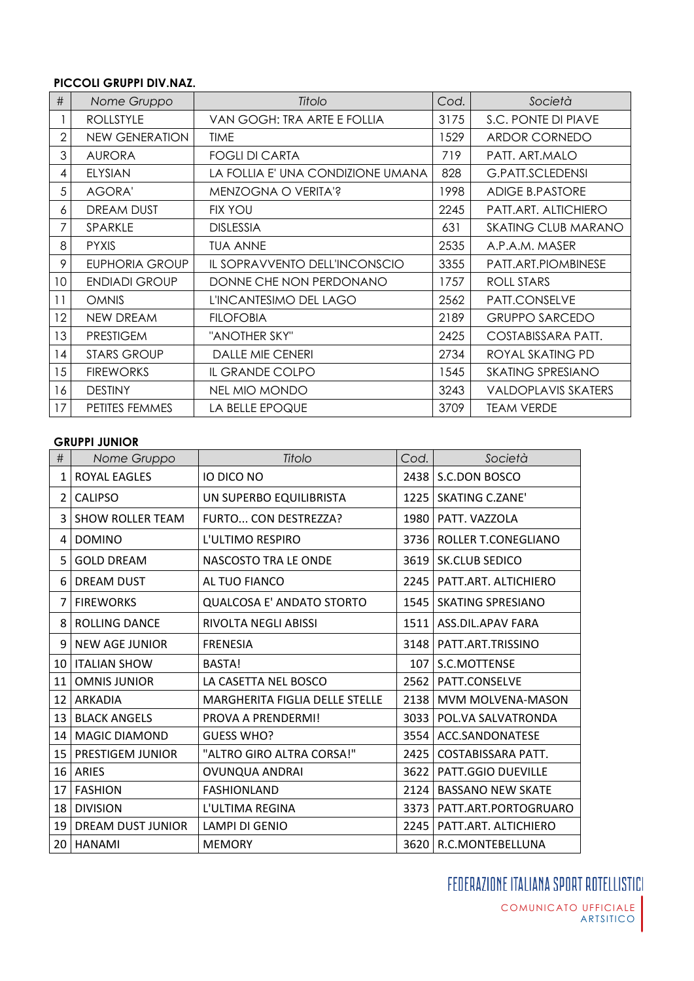#### **PICCOLI GRUPPI DIV.NAZ.**

| #              | Nome Gruppo           | Titolo                            | Cod. | Società                    |
|----------------|-----------------------|-----------------------------------|------|----------------------------|
|                | <b>ROLLSTYLE</b>      | VAN GOGH: TRA ARTE E FOLLIA       | 3175 | S.C. PONTE DI PIAVE        |
| $\overline{2}$ | NEW GENERATION        | <b>TIME</b>                       | 1529 | <b>ARDOR CORNEDO</b>       |
| 3              | <b>AURORA</b>         | <b>FOGLI DI CARTA</b>             | 719  | PATT. ART.MALO             |
| 4              | <b>ELYSIAN</b>        | LA FOLLIA E' UNA CONDIZIONE UMANA | 828  | <b>G.PATT.SCLEDENSI</b>    |
| 5              | <b>AGORA'</b>         | MENZOGNA O VERITA'?               | 1998 | <b>ADIGE B.PASTORE</b>     |
| 6              | <b>DREAM DUST</b>     | <b>FIX YOU</b>                    | 2245 | PATT.ART. ALTICHIERO       |
| 7              | SPARKLE               | <b>DISLESSIA</b>                  | 631  | <b>SKATING CLUB MARANO</b> |
| 8              | <b>PYXIS</b>          | <b>TUA ANNE</b>                   | 2535 | A.P.A.M. MASER             |
| 9              | <b>EUPHORIA GROUP</b> | IL SOPRAVVENTO DELL'INCONSCIO     | 3355 | PATT.ART.PIOMBINESE        |
| 10             | <b>ENDIADI GROUP</b>  | DONNE CHE NON PERDONANO           | 1757 | ROLL STARS                 |
| 11             | <b>OMNIS</b>          | L'INCANTESIMO DEL LAGO            | 2562 | PATT.CONSELVE              |
| 12             | NEW DREAM             | <b>FILOFOBIA</b>                  | 2189 | <b>GRUPPO SARCEDO</b>      |
| 13             | <b>PRESTIGEM</b>      | "ANOTHER SKY"                     | 2425 | COSTABISSARA PATT.         |
| 14             | <b>STARS GROUP</b>    | <b>DALLE MIE CENERI</b>           | 2734 | ROYAL SKATING PD           |
| 15             | <b>FIREWORKS</b>      | IL GRANDE COLPO                   | 1545 | <b>SKATING SPRESIANO</b>   |
| 16             | <b>DESTINY</b>        | <b>NEL MIO MONDO</b>              | 3243 | <b>VALDOPLAVIS SKATERS</b> |
| 17             | PETITES FEMMES        | LA BELLE EPOQUE                   | 3709 | <b>TEAM VERDE</b>          |

#### **GRUPPI JUNIOR**

| #               | Nome Gruppo             | Titolo                                | Cod. | Società                     |
|-----------------|-------------------------|---------------------------------------|------|-----------------------------|
| 1               | ROYAL EAGLES            | IO DICO NO                            |      | 2438   S.C.DON BOSCO        |
| 2               | <b>CALIPSO</b>          | UN SUPERBO EQUILIBRISTA               | 1225 | <b>SKATING C.ZANE'</b>      |
| 3               | <b>SHOW ROLLER TEAM</b> | FURTO CON DESTREZZA?                  |      | 1980   PATT. VAZZOLA        |
| 4               | <b>DOMINO</b>           | L'ULTIMO RESPIRO                      | 3736 | ROLLER T.CONEGLIANO         |
| 5               | <b>GOLD DREAM</b>       | NASCOSTO TRA LE ONDE                  | 3619 | SK.CLUB SEDICO              |
| 6               | <b>DREAM DUST</b>       | AL TUO FIANCO                         | 2245 | PATT.ART. ALTICHIERO        |
| $\overline{7}$  | <b>FIREWORKS</b>        | QUALCOSA E' ANDATO STORTO             | 1545 | <b>SKATING SPRESIANO</b>    |
| 8               | <b>ROLLING DANCE</b>    | RIVOLTA NEGLI ABISSI                  | 1511 | ASS.DIL.APAV FARA           |
| 9               | <b>NEW AGE JUNIOR</b>   | <b>FRENESIA</b>                       | 3148 | PATT.ART.TRISSINO           |
| 10              | <b>ITALIAN SHOW</b>     | BASTA!                                | 107  | S.C.MOTTENSE                |
| 11              | <b>OMNIS JUNIOR</b>     | LA CASETTA NEL BOSCO                  | 2562 | PATT.CONSELVE               |
| 12 <sup>2</sup> | ARKADIA                 | <b>MARGHERITA FIGLIA DELLE STELLE</b> |      | 2138   MVM MOLVENA-MASON    |
| 13              | <b>BLACK ANGELS</b>     | PROVA A PRENDERMI!                    | 3033 | POL.VA SALVATRONDA          |
| 14              | <b>MAGIC DIAMOND</b>    | <b>GUESS WHO?</b>                     | 3554 | ACC.SANDONATESE             |
| 15              | PRESTIGEM JUNIOR        | "ALTRO GIRO ALTRA CORSA!"             | 2425 | COSTABISSARA PATT.          |
| 16              | <b>ARIES</b>            | <b>OVUNQUA ANDRAI</b>                 |      | 3622   PATT.GGIO DUEVILLE   |
| 17              | <b>FASHION</b>          | <b>FASHIONLAND</b>                    | 2124 | <b>BASSANO NEW SKATE</b>    |
| 18              | <b>DIVISION</b>         | L'ULTIMA REGINA                       | 3373 | PATT.ART.PORTOGRUARO        |
| 19              | DREAM DUST JUNIOR       | <b>LAMPI DI GENIO</b>                 |      | 2245   PATT.ART. ALTICHIERO |
| 20              | <b>HANAMI</b>           | <b>MEMORY</b>                         |      | 3620   R.C.MONTEBELLUNA     |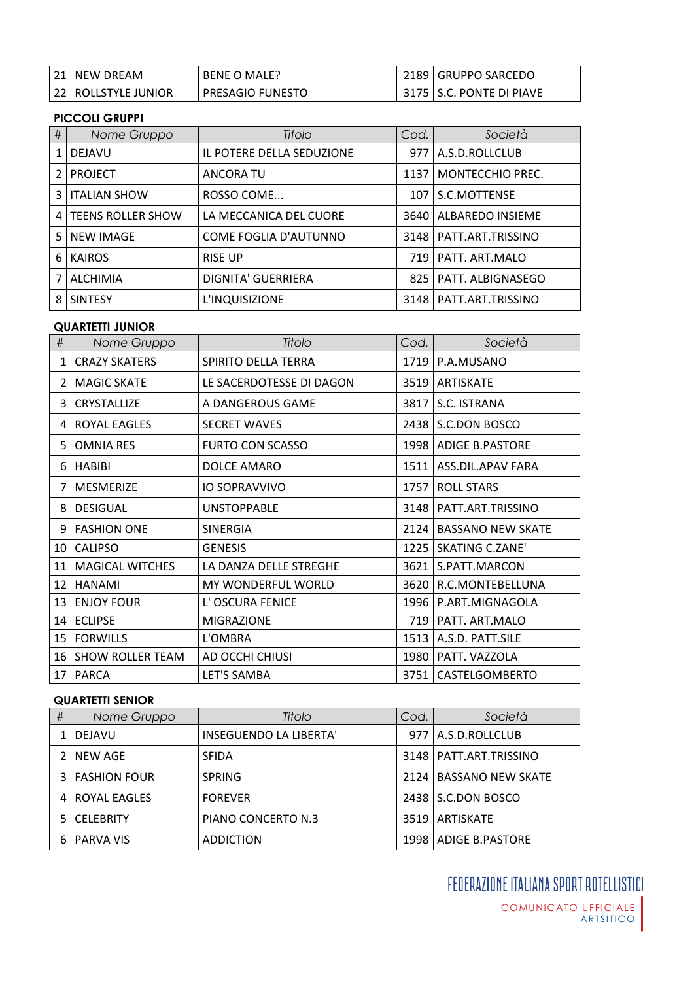| 21 I NEW DREAM        | BENE O MALE?       | 2189   GRUPPO SARCEDO      |
|-----------------------|--------------------|----------------------------|
| 22   ROLLSTYLE JUNIOR | l PRESAGIO FUNESTO | 3175   S.C. PONTE DI PIAVE |

## **PICCOLI GRUPPI**

| #            | Nome Gruppo         | Titolo                    | Cod.  | Società                 |
|--------------|---------------------|---------------------------|-------|-------------------------|
| $\mathbf{1}$ | <b>DEJAVU</b>       | IL POTERE DELLA SEDUZIONE |       | 977   A.S.D.ROLLCLUB    |
|              | <b>PROJECT</b>      | ANCORA TU                 | 1137  | <b>MONTECCHIO PREC.</b> |
| 3            | <b>ITALIAN SHOW</b> | ROSSO COME                | 107   | S.C.MOTTENSE            |
| 4 I          | TEENS ROLLER SHOW   | LA MECCANICA DEL CUORE    | 3640  | ALBAREDO INSIEME        |
| 5.           | <b>NEW IMAGE</b>    | COME FOGLIA D'AUTUNNO     | 3148  | PATT.ART.TRISSINO       |
| 6.           | <b>KAIROS</b>       | <b>RISE UP</b>            | 719 I | PATT. ART.MALO          |
|              | <b>ALCHIMIA</b>     | <b>DIGNITA' GUERRIERA</b> | 825   | PATT. ALBIGNASEGO       |
| 8            | <b>SINTESY</b>      | L'INQUISIZIONE            | 3148  | PATT.ART.TRISSINO       |

### **QUARTETTI JUNIOR**

| #              | Nome Gruppo                              | Titolo                   | Cod. | Società                  |
|----------------|------------------------------------------|--------------------------|------|--------------------------|
| 1              | <b>CRAZY SKATERS</b>                     | SPIRITO DELLA TERRA      |      | 1719   P.A.MUSANO        |
|                | 2   MAGIC SKATE                          | LE SACERDOTESSE DI DAGON |      | 3519   ARTISKATE         |
| $\overline{3}$ | CRYSTALLIZE                              | A DANGEROUS GAME         |      | 3817   S.C. ISTRANA      |
|                | 4   ROYAL EAGLES                         | <b>SECRET WAVES</b>      |      | 2438   S.C.DON BOSCO     |
| 5.             | <b>OMNIA RES</b>                         | <b>FURTO CON SCASSO</b>  |      | 1998   ADIGE B.PASTORE   |
|                | 6 HABIBI                                 | DOLCE AMARO              |      | 1511   ASS.DIL.APAV FARA |
|                | 7   MESMERIZE                            | <b>IO SOPRAVVIVO</b>     |      | 1757   ROLL STARS        |
|                | 8   DESIGUAL                             | <b>UNSTOPPABLE</b>       |      | 3148   PATT.ART.TRISSINO |
|                | 9   FASHION ONE                          | <b>SINERGIA</b>          |      | 2124   BASSANO NEW SKATE |
|                | 10 CALIPSO                               | <b>GENESIS</b>           |      | 1225   SKATING C.ZANE'   |
|                | 11   MAGICAL WITCHES                     | LA DANZA DELLE STREGHE   |      | 3621   S.PATT.MARCON     |
|                | 12   HANAMI                              | MY WONDERFUL WORLD       |      | 3620   R.C.MONTEBELLUNA  |
|                | 13 ENJOY FOUR                            | L'OSCURA FENICE          |      | 1996   P.ART.MIGNAGOLA   |
|                | 14 ECLIPSE                               | <b>MIGRAZIONE</b>        |      | 719   PATT. ART.MALO     |
|                | 15   FORWILLS                            | L'OMBRA                  |      | 1513   A.S.D. PATT.SILE  |
|                | 16   SHOW ROLLER TEAM<br>AD OCCHI CHIUSI |                          |      | 1980   PATT. VAZZOLA     |
|                | 17 PARCA                                 | LET'S SAMBA              |      | 3751   CASTELGOMBERTO    |

## **QUARTETTI SENIOR**

| # | Nome Gruppo             | Titolo                        | Cod. | Società                  |
|---|-------------------------|-------------------------------|------|--------------------------|
|   | <b>DEJAVU</b>           | <b>INSEGUENDO LA LIBERTA'</b> |      | 977   A.S.D.ROLLCLUB     |
|   | 2 NEW AGE               | <b>SFIDA</b>                  |      | 3148   PATT.ART.TRISSINO |
|   | <b>3   FASHION FOUR</b> | <b>SPRING</b>                 |      | 2124   BASSANO NEW SKATE |
|   | 4   ROYAL EAGLES        | <b>FOREVER</b>                |      | 2438   S.C.DON BOSCO     |
|   | <b>CELEBRITY</b>        | PIANO CONCERTO N.3            |      | 3519   ARTISKATE         |
|   | <b>PARVA VIS</b>        | <b>ADDICTION</b>              |      | 1998   ADIGE B.PASTORE   |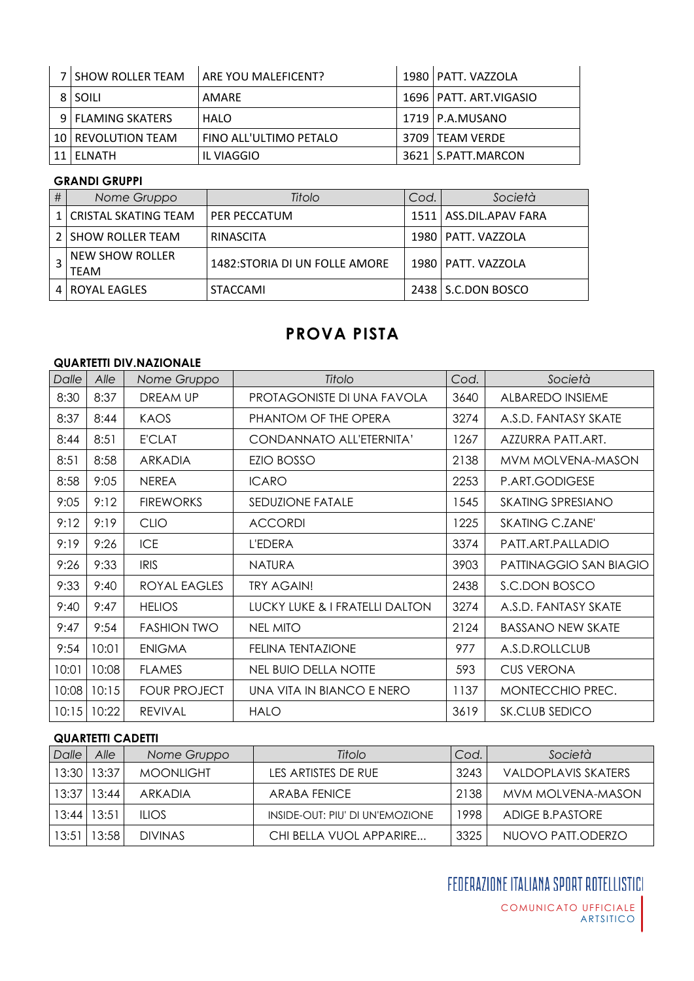| 7 I SHOW ROLLER TEAM | <b>ARE YOU MALEFICENT?</b> | 1980   PATT. VAZZOLA     |
|----------------------|----------------------------|--------------------------|
| 8 SOILI              | AMARE                      | 1696   PATT. ART.VIGASIO |
| 9 FLAMING SKATERS    | HALO                       | 1719   P.A.MUSANO        |
| 10   REVOLUTION TEAM | FINO ALL'ULTIMO PETALO     | 3709   TEAM VERDE        |
| 11 ELNATH            | IL VIAGGIO                 | 3621   S.PATT.MARCON     |

#### **GRANDI GRUPPI**

| # | Nome Gruppo                           | Titolo                         | Cod. | Società                  |
|---|---------------------------------------|--------------------------------|------|--------------------------|
|   | 1   CRISTAL SKATING TEAM              | PER PECCATUM                   |      | 1511   ASS.DIL.APAV FARA |
|   | 2   SHOW ROLLER TEAM                  | RINASCITA                      |      | 1980   PATT. VAZZOLA     |
|   | <b>NEW SHOW ROLLER</b><br><b>TEAM</b> | 1482: STORIA DI UN FOLLE AMORE |      | 1980   PATT. VAZZOLA     |
|   | 4   ROYAL EAGLES                      | <b>STACCAMI</b>                |      | 2438   S.C.DON BOSCO     |

# **PROVA PISTA**

## **QUARTETTI DIV.NAZIONALE**

| Dalle | Alle  | Nome Gruppo         | Titolo                         | Cod. | Società                  |
|-------|-------|---------------------|--------------------------------|------|--------------------------|
| 8:30  | 8:37  | DREAM UP            | PROTAGONISTE DI UNA FAVOLA     | 3640 | ALBAREDO INSIEME         |
| 8:37  | 8:44  | KAOS                | PHANTOM OF THE OPERA           | 3274 | A.S.D. FANTASY SKATE     |
| 8:44  | 8:51  | <b>E'CLAT</b>       | CONDANNATO ALL'ETERNITA'       | 1267 | AZZURRA PATT.ART.        |
| 8:51  | 8:58  | <b>ARKADIA</b>      | <b>EZIO BOSSO</b>              | 2138 | MVM MOLVENA-MASON        |
| 8:58  | 9:05  | <b>NEREA</b>        | <b>ICARO</b>                   | 2253 | P.ART.GODIGESE           |
| 9:05  | 9:12  | <b>FIREWORKS</b>    | <b>SEDUZIONE FATALE</b>        | 1545 | SKATING SPRESIANO        |
| 9:12  | 9:19  | <b>CLIO</b>         | <b>ACCORDI</b>                 | 1225 | SKATING C.ZANE'          |
| 9:19  | 9:26  | <b>ICE</b>          | L'EDERA                        | 3374 | PATT.ART.PALLADIO        |
| 9:26  | 9:33  | <b>IRIS</b>         | <b>NATURA</b>                  | 3903 | PATTINAGGIO SAN BIAGIO   |
| 9:33  | 9:40  | ROYAL EAGLES        | <b>TRY AGAIN!</b>              | 2438 | S.C.DON BOSCO            |
| 9:40  | 9:47  | <b>HELIOS</b>       | LUCKY LUKE & I FRATELLI DALTON | 3274 | A.S.D. FANTASY SKATE     |
| 9:47  | 9:54  | <b>FASHION TWO</b>  | <b>NEL MITO</b>                | 2124 | <b>BASSANO NEW SKATE</b> |
| 9:54  | 10:01 | <b>ENIGMA</b>       | <b>FELINA TENTAZIONE</b>       | 977  | A.S.D.ROLLCLUB           |
| 10:01 | 10:08 | <b>FLAMES</b>       | NEL BUIO DELLA NOTTE           | 593  | <b>CUS VERONA</b>        |
| 10:08 | 10:15 | <b>FOUR PROJECT</b> | UNA VITA IN BIANCO E NERO      | 1137 | MONTECCHIO PREC.         |
| 10:15 | 10:22 | <b>REVIVAL</b>      | <b>HALO</b>                    | 3619 | SK.CLUB SEDICO           |

## **QUARTETTI CADETTI**

| Dalle | Alle        | Nome Gruppo      | Titolo                          | Cod. | Società             |
|-------|-------------|------------------|---------------------------------|------|---------------------|
|       | 13:30 13:37 | <b>MOONLIGHT</b> | LES ARTISTES DE RUE             | 3243 | VALDOPLAVIS SKATERS |
| 13:37 | 13:44       | ARKADIA          | ARABA FENICE                    | 2138 | MVM MOLVENA-MASON   |
| 13:44 | 13:51       | $II$ IOS         | INSIDE-OUT: PIU' DI UN'EMOZIONE | 1998 | ADIGE B.PASTORE     |
| 13:51 | 13:58       | <b>DIVINAS</b>   | CHI BELLA VUOL APPARIRE         | 3325 | NUOVO PATI.ODERZO   |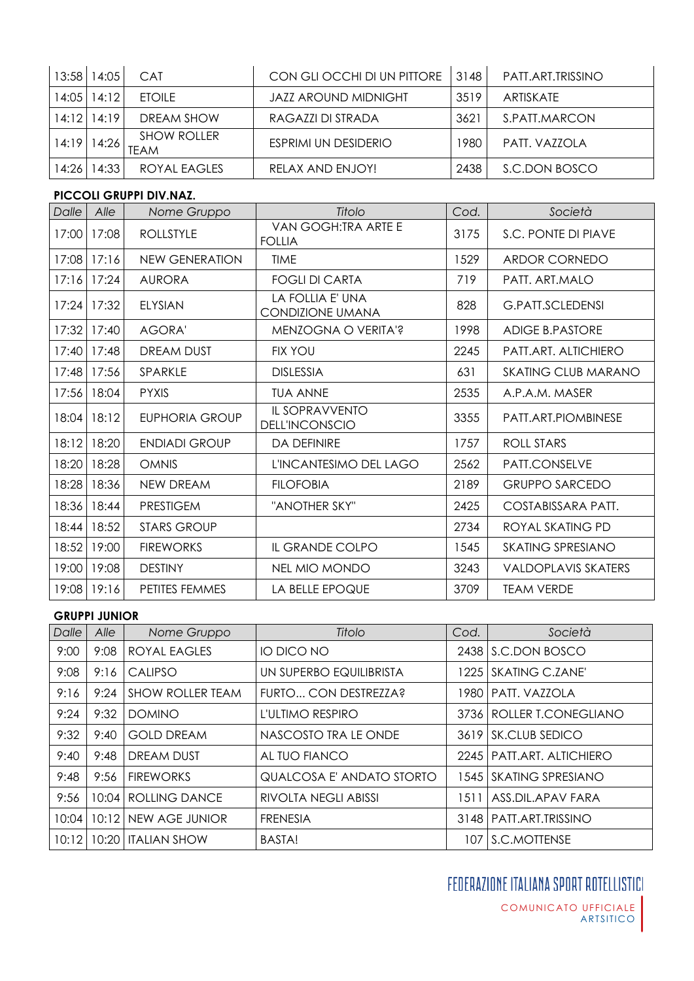|       | 13:58   14:05     | <b>CAT</b>                        | CON GLI OCCHI DI UN PITTORE | 3148 | PATT.ART.TRISSINO |
|-------|-------------------|-----------------------------------|-----------------------------|------|-------------------|
|       | $14:05$   14:12   | <b>FTOILE</b>                     | JAZZ AROUND MIDNIGHT        | 3519 | ARTISKATE         |
|       | $14:12$   $14:19$ | DREAM SHOW                        | RAGAZZI DI STRADA           | 3621 | S.PATT.MARCON     |
| 14:19 | 14:26             | <b>SHOW ROLLER</b><br><b>TEAM</b> | ESPRIMI UN DESIDERIO        | 1980 | PATT, VAZZOLA     |
| 14:26 | 14:33             | ROYAL EAGLES                      | RELAX AND ENJOY!            | 2438 | S.C.DON BOSCO     |

#### **PICCOLI GRUPPI DIV.NAZ.**

| Dalle | Alle  | Nome Gruppo           | Titolo                                         | Cod. | Società                    |
|-------|-------|-----------------------|------------------------------------------------|------|----------------------------|
| 17:00 | 17:08 | <b>ROLLSTYLE</b>      | VAN GOGH:TRA ARTE E<br><b>FOLLIA</b>           | 3175 | S.C. PONTE DI PIAVE        |
| 17:08 | 17:16 | <b>NEW GENERATION</b> | <b>TIME</b>                                    | 1529 | ARDOR CORNEDO              |
| 17:16 | 17:24 | <b>AURORA</b>         | <b>FOGLI DI CARTA</b>                          | 719  | PATT. ART.MALO             |
| 17:24 | 17:32 | <b>ELYSIAN</b>        | LA FOLLIA E' UNA<br>CONDIZIONE UMANA           | 828  | <b>G.PATT.SCLEDENSI</b>    |
| 17:32 | 17:40 | <b>AGORA'</b>         | MENZOGNA O VERITA'?                            | 1998 | ADIGE B.PASTORE            |
| 17:40 | 17:48 | <b>DREAM DUST</b>     | <b>FIX YOU</b>                                 | 2245 | PATT.ART. ALTICHIERO       |
| 17:48 | 17:56 | SPARKLE               | <b>DISLESSIA</b>                               | 631  | <b>SKATING CLUB MARANO</b> |
| 17:56 | 18:04 | <b>PYXIS</b>          | <b>TUA ANNE</b>                                | 2535 | A.P.A.M. MASER             |
| 18:04 | 18:12 | EUPHORIA GROUP        | <b>IL SOPRAVVENTO</b><br><b>DELL'INCONSCIO</b> | 3355 | PATT.ART.PIOMBINESE        |
| 18:12 | 18:20 | <b>ENDIADI GROUP</b>  | <b>DA DEFINIRE</b>                             | 1757 | <b>ROLL STARS</b>          |
| 18:20 | 18:28 | <b>OMNIS</b>          | L'INCANTESIMO DEL LAGO                         | 2562 | PATT.CONSELVE              |
| 18:28 | 18:36 | <b>NEW DREAM</b>      | <b>FILOFOBIA</b>                               | 2189 | <b>GRUPPO SARCEDO</b>      |
| 18:36 | 18:44 | <b>PRESTIGEM</b>      | "ANOTHER SKY"                                  | 2425 | COSTABISSARA PATT.         |
| 18:44 | 18:52 | <b>STARS GROUP</b>    |                                                | 2734 | ROYAL SKATING PD           |
| 18:52 | 19:00 | <b>FIREWORKS</b>      | IL GRANDE COLPO                                | 1545 | <b>SKATING SPRESIANO</b>   |
| 19:00 | 19:08 | <b>DESTINY</b>        | <b>NEL MIO MONDO</b>                           | 3243 | <b>VALDOPLAVIS SKATERS</b> |
| 19:08 | 19:16 | PETITES FEMMES        | LA BELLE EPOQUE                                | 3709 | <b>TEAM VERDE</b>          |

#### **GRUPPI JUNIOR**

| Dalle | Alle  | Nome Gruppo             | Titolo                      | Cod. | Società                     |
|-------|-------|-------------------------|-----------------------------|------|-----------------------------|
| 9:00  | 9:08  | ROYAL EAGLES            | IO DICO NO                  |      | 2438 S.C.DON BOSCO          |
| 9:08  | 9:16  | <b>CALIPSO</b>          | UN SUPERBO EQUILIBRISTA     | 1225 | <b>SKATING C.ZANE'</b>      |
| 9:16  | 9:24  | <b>SHOW ROLLER TEAM</b> | FURTO CON DESTREZZA?        | 1980 | PATT. VAZZOLA               |
| 9:24  | 9:32  | <b>DOMINO</b>           | L'ULTIMO RESPIRO            | 3736 | <b>ROLLER T.CONEGLIANO</b>  |
| 9:32  | 9:40  | <b>GOLD DREAM</b>       | NASCOSTO TRA LE ONDE        |      | 3619 SK.CLUB SEDICO         |
| 9:40  | 9:48  | <b>DREAM DUST</b>       | AL TUO FIANCO               | 2245 | <b>PATT.ART. ALTICHIERO</b> |
| 9:48  | 9:56  | <b>FIREWORKS</b>        | QUALCOSA E' ANDATO STORTO   |      | 1545 SKATING SPRESIANO      |
| 9:56  | 10:04 | <b>ROLLING DANCE</b>    | <b>RIVOLTA NEGLI ABISSI</b> | 1511 | ASS.DIL.APAV FARA           |
| 10:04 | 10:12 | <b>NEW AGE JUNIOR</b>   | <b>FRENESIA</b>             | 3148 | PATT.ART.TRISSINO           |
| 10:12 | 10:20 | <b>ITALIAN SHOW</b>     | <b>BASTA!</b>               |      | 107 S.C.MOTTENSE            |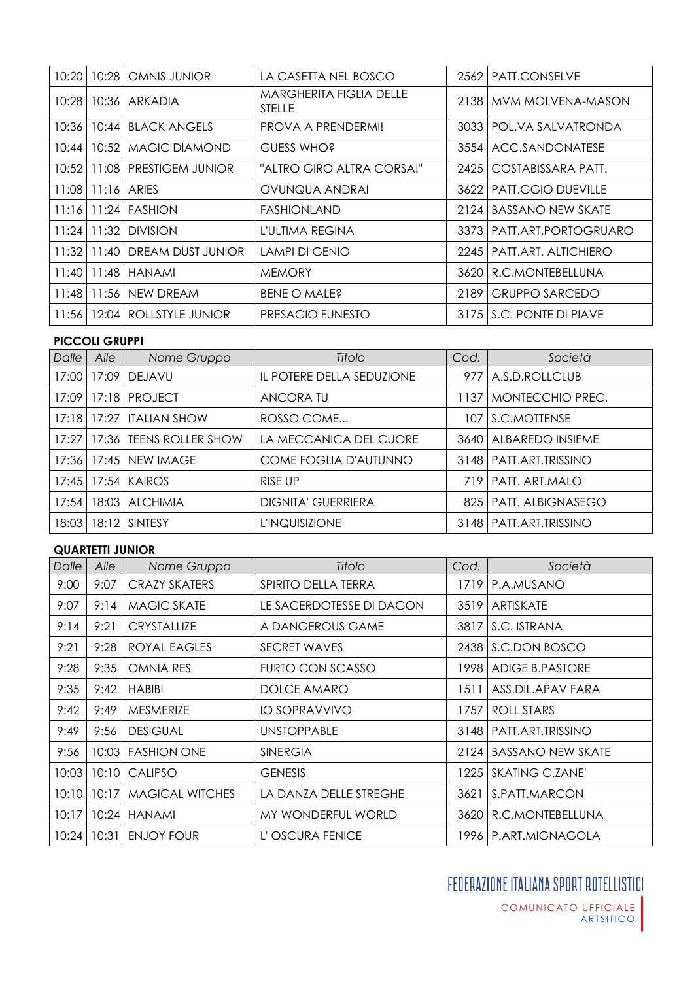| 10:20   | 10:28           | OMNIS JUNIOR                     | LA CASETTA NEL BOSCO                     |      | 2562   PATT.CONSELVE        |
|---------|-----------------|----------------------------------|------------------------------------------|------|-----------------------------|
| 10:28   |                 | 10:36 ARKADIA                    | <b>MARGHERITA FIGLIA DELLE</b><br>STELLE |      | 2138 MVM MOLVENA-MASON      |
| $10:36$ | 10:44           | <b>BLACK ANGELS</b>              | PROVA A PRENDERMI!                       |      | 3033 FOL.VA SALVATRONDA     |
| 10:44   | 10:52           | I MAGIC DIAMOND                  | GUESS WHO?                               |      | 3554   ACC.SANDONATESE      |
|         |                 | 10:52   11:08   PRESTIGEM JUNIOR | "ALTRO GIRO ALTRA CORSA!"                |      | 2425   COSTABISSARA PATT.   |
|         |                 | 11:08 11:16 ARIES                | OVUNQUA ANDRAI                           |      | 3622 PATT.GGIO DUEVILLE     |
|         |                 | 11:16 11:24 FASHION              | <b>FASHIONLAND</b>                       | 2124 | BASSANO NEW SKATE           |
|         | $11:24$   11:32 | <b>DIVISION</b>                  | L'ULTIMA REGINA                          |      | 3373   PATT.ART.PORTOGRUARO |
| 11:32   | 11:40           | DREAM DUST JUNIOR                | <b>LAMPI DI GENIO</b>                    |      | 2245   PATT.ART. ALTICHIERO |
|         | $11:40$   11:48 | HANAMI                           | <b>MEMORY</b>                            |      | 3620 R.C.MONTEBELLUNA       |
| 11:48   | 11:56           | NEW DREAM                        | BENE O MALE?                             | 2189 | <b>GRUPPO SARCEDO</b>       |
| 11:56   |                 | 12:04   ROLLSTYLE JUNIOR         | PRESAGIO FUNESTO                         |      | 3175 S.C. PONTE DI PIAVE    |

## **PICCOLI GRUPPI**

| Dalle   | Alle  | Nome Gruppo              | Titolo                       | Cod. | Società                  |
|---------|-------|--------------------------|------------------------------|------|--------------------------|
| 17:00   | 17:09 | <b>DEJAVU</b>            | IL POTERE DELLA SEDUZIONE    |      | 977   A.S.D.ROLLCLUB     |
| 17:09 l |       | 17:18 PROJECT            | ANCORA TU                    | 1137 | <b>IMONTECCHIO PREC.</b> |
| 17:18   | 17:27 | <b>ITALIAN SHOW</b>      | ROSSO COME                   | 107  | <b>IS.C.MOTTENSE</b>     |
| 17:27   | 17:36 | <b>TEENS ROLLER SHOW</b> | LA MECCANICA DEL CUORE       |      | 3640   ALBAREDO INSIEME  |
| 17:36   |       | 17:45   NEW IMAGE        | <b>COME FOGLIA D'AUTUNNO</b> |      | 3148   PATT.ART.TRISSINO |
|         |       | 17:45   17:54   KAIROS   | <b>RISE UP</b>               |      | 719 PATT, ART, MALO      |
| 17:54   |       | 18:03   ALCHIMIA         | <b>DIGNITA' GUERRIERA</b>    |      | 825   PATT, ALBIGNASEGO  |
| 18:03   | 18:12 | <b>SINTESY</b>           | <b>L'INQUISIZIONE</b>        |      | 3148   PATT.ART.TRISSINO |

## **QUARTETTI JUNIOR**

| Dalle | Alle  | Nome Gruppo            | Titolo                   | Cod. | Società                  |
|-------|-------|------------------------|--------------------------|------|--------------------------|
| 9:00  | 9:07  | CRAZY SKATERS          | SPIRITO DELLA TERRA      |      | 1719 P.A.MUSANO          |
| 9:07  | 9:14  | <b>MAGIC SKATE</b>     | LE SACERDOTESSE DI DAGON |      | 3519   ARTISKATE         |
| 9:14  | 9:21  | <b>CRYSTALLIZE</b>     | A DANGEROUS GAME         | 3817 | S.C. ISTRANA             |
| 9:21  | 9:28  | ROYAL EAGLES           | <b>SECRET WAVES</b>      |      | 2438 S.C.DON BOSCO       |
| 9:28  | 9:35  | <b>OMNIA RES</b>       | FURTO CON SCASSO         |      | 1998   ADIGE B.PASTORE   |
| 9:35  | 9:42  | <b>HABIBI</b>          | DOLCE AMARO              | 1511 | ASS.DIL.APAV FARA        |
| 9:42  | 9:49  | MESMERIZE              | <b>IO SOPRAVVIVO</b>     | 1757 | ROLL STARS               |
| 9:49  | 9:56  | <b>DESIGUAL</b>        | <b>UNSTOPPABLE</b>       |      | 3148   PATT.ART.TRISSINO |
| 9:56  | 10:03 | <b>FASHION ONE</b>     | <b>SINERGIA</b>          | 2124 | <b>BASSANO NEW SKATE</b> |
| 10:03 | 10:10 | <b>CALIPSO</b>         | <b>GENESIS</b>           | 1225 | <b>SKATING C.ZANE'</b>   |
| 10:10 | 10:17 | <b>MAGICAL WITCHES</b> | LA DANZA DELLE STREGHE   | 3621 | S.PATT.MARCON            |
| 10:17 | 10:24 | <b>HANAMI</b>          | MY WONDERFUL WORLD       | 3620 | R.C.MONTEBELLUNA         |
| 10:24 | 10:31 | <b>ENJOY FOUR</b>      | L'OSCURA FENICE          |      | 1996   P.ART.MIGNAGOLA   |